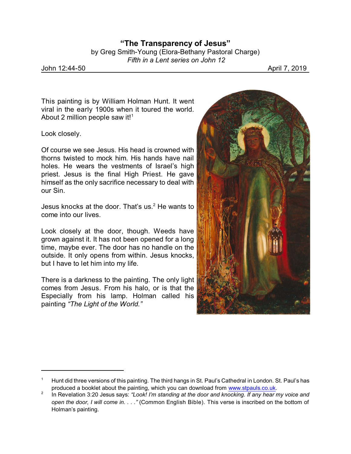by Greg Smith-Young (Elora-Bethany Pastoral Charge)  *Fifth in a Lent series on John 12*

John 12:44-50 April 7, 2019

This painting is by William Holman Hunt. It went viral in the early 1900s when it toured the world. About 2 million people saw it!<sup>1</sup>

Look closely.

Of course we see Jesus. His head is crowned with thorns twisted to mock him. His hands have nail holes. He wears the vestments of Israel's high priest. Jesus is the final High Priest. He gave himself as the only sacrifice necessary to deal with our Sin.

Jesus knocks at the door. That's us. $2$  He wants to come into our lives.

Look closely at the door, though. Weeds have grown against it. It has not been opened for a long time, maybe ever. The door has no handle on the outside. It only opens from within. Jesus knocks, but I have to let him into my life.

There is a darkness to the painting. The only light comes from Jesus. From his halo, or is that the Especially from his lamp. Holman called his painting *"The Light of the World."*



<sup>1</sup> Hunt did three versions of this painting. The third hangs in St. Paul's Cathedral in London. St. Paul's has produced a booklet about the painting, which you can download from [www.stpauls.co.uk](http://www.stpauls.co.uk).

<sup>2</sup> In Revelation 3:20 Jesus says: *"Look! I'm standing at the door and knocking. If any hear my voice and open the door, I will come in. . . ."* (Common English Bible). This verse is inscribed on the bottom of Holman's painting.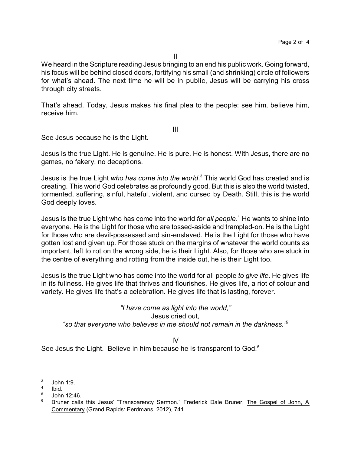We heard in the Scripture reading Jesus bringing to an end his public work. Going forward, his focus will be behind closed doors, fortifying his small (and shrinking) circle of followers for what's ahead. The next time he will be in public, Jesus will be carrying his cross through city streets.

That's ahead. Today, Jesus makes his final plea to the people: see him, believe him, receive him.

III

See Jesus because he is the Light.

Jesus is the true Light. He is genuine. He is pure. He is honest. With Jesus, there are no games, no fakery, no deceptions.

Jesus is the true Light *who has come into the world*. 3 This world God has created and is creating. This world God celebrates as profoundly good. But this is also the world twisted, tormented, suffering, sinful, hateful, violent, and cursed by Death. Still, this is the world God deeply loves.

Jesus is the true Light who has come into the world *for all people*. <sup>4</sup> He wants to shine into everyone. He is the Light for those who are tossed-aside and trampled-on. He is the Light for those who are devil-possessed and sin-enslaved. He is the Light for those who have gotten lost and given up. For those stuck on the margins of whatever the world counts as important, left to rot on the wrong side, he is their Light. Also, for those who are stuck in the centre of everything and rotting from the inside out, he is their Light too.

Jesus is the true Light who has come into the world for all people *to give life*. He gives life in its fullness. He gives life that thrives and flourishes. He gives life, a riot of colour and variety. He gives life that's a celebration. He gives life that is lasting, forever.

*"I have come as light into the world,"* Jesus cried out, *"so that everyone who believes in me should not remain in the darkness."*<sup>5</sup>

IV

See Jesus the Light. Believe in him because he is transparent to God. $6$ 

<sup>3</sup> John 1:9.

<sup>4</sup> Ibid.

<sup>5</sup> John 12:46.

<sup>6</sup> Bruner calls this Jesus' "Transparency Sermon." Frederick Dale Bruner, The Gospel of John, A Commentary (Grand Rapids: Eerdmans, 2012), 741.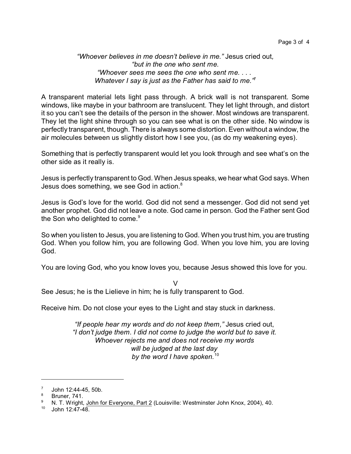*"Whoever believes in me doesn't believe in me."* Jesus cried out*, "but in the one who sent me. "Whoever sees me sees the one who sent me. . . . Whatever I say is just as the Father has said to me."*<sup>7</sup>

A transparent material lets light pass through. A brick wall is not transparent. Some windows, like maybe in your bathroom are translucent. They let light through, and distort it so you can't see the details of the person in the shower. Most windows are transparent. They let the light shine through so you can see what is on the other side. No window is perfectly transparent, though. There is always some distortion. Even without a window, the air molecules between us slightly distort how I see you, (as do my weakening eyes).

Something that is perfectly transparent would let you look through and see what's on the other side as it really is.

Jesus is perfectly transparent to God. When Jesus speaks, we hear what God says. When Jesus does something, we see God in action.<sup>8</sup>

Jesus is God's love for the world. God did not send a messenger. God did not send yet another prophet. God did not leave a note. God came in person. God the Father sent God the Son who delighted to come.<sup>9</sup>

So when you listen to Jesus, you are listening to God. When you trust him, you are trusting God. When you follow him, you are following God. When you love him, you are loving God.

You are loving God, who you know loves you, because Jesus showed this love for you.

 $\overline{V}$ 

See Jesus; he is the Lielieve in him; he is fully transparent to God.

Receive him. Do not close your eyes to the Light and stay stuck in darkness.

*"If people hear my words and do not keep them,"* Jesus cried out, *"I don't judge them. I did not come to judge the world but to save it. Whoever rejects me and does not receive my words will be judged at the last day by the word I have spoken.*<sup>10</sup>

<sup>7</sup> John 12:44-45, 50b.

<sup>8</sup> Bruner, 741.

<sup>&</sup>lt;sup>9</sup> N. T. Wright, John for Everyone, Part 2 (Louisville: Westminster John Knox, 2004), 40.<br><sup>10</sup> Iohn 12:47.48

<sup>10</sup> John 12:47-48.